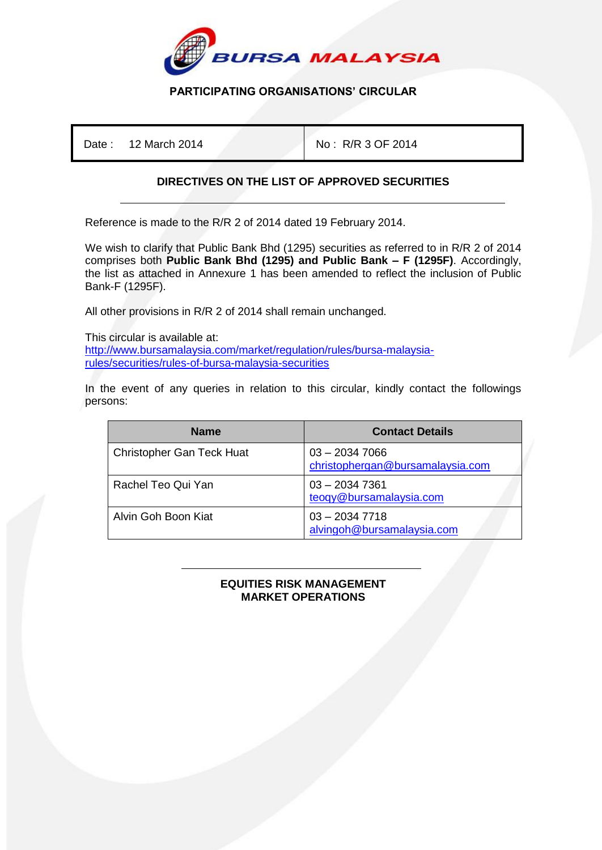

## **PARTICIPATING ORGANISATIONS' CIRCULAR**

Date : 12 March 2014 No : R/R 3 OF 2014

## **DIRECTIVES ON THE LIST OF APPROVED SECURITIES**

Reference is made to the R/R 2 of 2014 dated 19 February 2014.

We wish to clarify that Public Bank Bhd (1295) securities as referred to in R/R 2 of 2014 comprises both **Public Bank Bhd (1295) and Public Bank – F (1295F)**. Accordingly, the list as attached in Annexure 1 has been amended to reflect the inclusion of Public Bank-F (1295F).

All other provisions in R/R 2 of 2014 shall remain unchanged.

This circular is available at: [http://www.bursamalaysia.com/market/regulation/rules/bursa-malaysia](http://www.bursamalaysia.com/market/regulation/rules/bursa-malaysia-rules/securities/rules-of-bursa-malaysia-securities)[rules/securities/rules-of-bursa-malaysia-securities](http://www.bursamalaysia.com/market/regulation/rules/bursa-malaysia-rules/securities/rules-of-bursa-malaysia-securities)

In the event of any queries in relation to this circular, kindly contact the followings persons:

| <b>Name</b>                      | <b>Contact Details</b>                              |
|----------------------------------|-----------------------------------------------------|
| <b>Christopher Gan Teck Huat</b> | $03 - 20347066$<br>christophergan@bursamalaysia.com |
| Rachel Teo Qui Yan               | $03 - 20347361$<br>teoqy@bursamalaysia.com          |
| Alvin Goh Boon Kiat              | $03 - 20347718$<br>alvingoh@bursamalaysia.com       |

## ֺ **EQUITIES RISK MANAGEMENT MARKET OPERATIONS**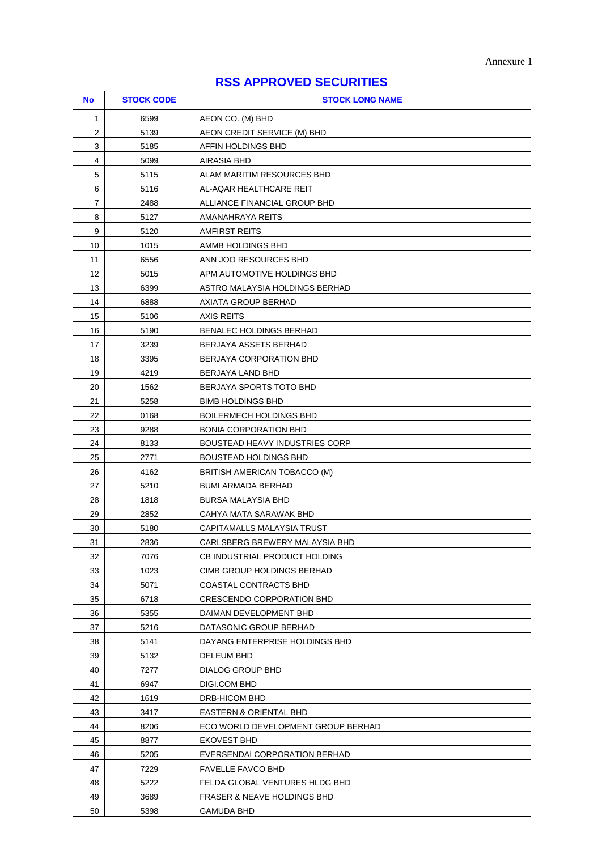| Annexure |  |
|----------|--|
|----------|--|

| <b>RSS APPROVED SECURITIES</b> |                   |                                        |
|--------------------------------|-------------------|----------------------------------------|
| <b>No</b>                      | <b>STOCK CODE</b> | <b>STOCK LONG NAME</b>                 |
| 1                              | 6599              | AEON CO. (M) BHD                       |
| $\overline{2}$                 | 5139              | AEON CREDIT SERVICE (M) BHD            |
| 3                              | 5185              | AFFIN HOLDINGS BHD                     |
| 4                              | 5099              | AIRASIA BHD                            |
| 5                              | 5115              | ALAM MARITIM RESOURCES BHD             |
| 6                              | 5116              | AL-AQAR HEALTHCARE REIT                |
| $\overline{7}$                 | 2488              | ALLIANCE FINANCIAL GROUP BHD           |
| 8                              | 5127              | AMANAHRAYA REITS                       |
| 9                              | 5120              | <b>AMFIRST REITS</b>                   |
| 10                             | 1015              | AMMB HOLDINGS BHD                      |
| 11                             | 6556              | ANN JOO RESOURCES BHD                  |
| 12                             | 5015              | APM AUTOMOTIVE HOLDINGS BHD            |
| 13                             | 6399              | ASTRO MALAYSIA HOLDINGS BERHAD         |
| 14                             | 6888              | AXIATA GROUP BERHAD                    |
| 15                             | 5106              | <b>AXIS REITS</b>                      |
| 16                             | 5190              | <b>BENALEC HOLDINGS BERHAD</b>         |
| 17                             | 3239              | BERJAYA ASSETS BERHAD                  |
| 18                             | 3395              | BERJAYA CORPORATION BHD                |
| 19                             | 4219              | BERJAYA LAND BHD                       |
| 20                             | 1562              | BERJAYA SPORTS TOTO BHD                |
| 21                             | 5258              | <b>BIMB HOLDINGS BHD</b>               |
| 22                             | 0168              | <b>BOILERMECH HOLDINGS BHD</b>         |
| 23                             | 9288              | <b>BONIA CORPORATION BHD</b>           |
| 24                             | 8133              | <b>BOUSTEAD HEAVY INDUSTRIES CORP</b>  |
| 25                             | 2771              | <b>BOUSTEAD HOLDINGS BHD</b>           |
| 26                             | 4162              | BRITISH AMERICAN TOBACCO (M)           |
| 27                             | 5210              | <b>BUMI ARMADA BERHAD</b>              |
| 28                             | 1818              | BURSA MALAYSIA BHD                     |
| 29                             | 2852              | CAHYA MATA SARAWAK BHD                 |
| 30                             | 5180              | CAPITAMALLS MALAYSIA TRUST             |
| 31                             | 2836              | CARLSBERG BREWERY MALAYSIA BHD         |
| 32                             | 7076              | CB INDUSTRIAL PRODUCT HOLDING          |
| 33                             | 1023              | CIMB GROUP HOLDINGS BERHAD             |
| 34                             | 5071              | COASTAL CONTRACTS BHD                  |
| 35                             | 6718              | CRESCENDO CORPORATION BHD              |
| 36                             | 5355              | DAIMAN DEVELOPMENT BHD                 |
| 37                             | 5216              | DATASONIC GROUP BERHAD                 |
| 38                             | 5141              | DAYANG ENTERPRISE HOLDINGS BHD         |
| 39<br>40                       | 5132              | <b>DELEUM BHD</b>                      |
| 41                             | 7277<br>6947      | DIALOG GROUP BHD<br>DIGI.COM BHD       |
| 42                             | 1619              | DRB-HICOM BHD                          |
| 43                             | 3417              | EASTERN & ORIENTAL BHD                 |
| 44                             | 8206              | ECO WORLD DEVELOPMENT GROUP BERHAD     |
| 45                             | 8877              | <b>EKOVEST BHD</b>                     |
| 46                             | 5205              | EVERSENDAI CORPORATION BERHAD          |
| 47                             | 7229              | <b>FAVELLE FAVCO BHD</b>               |
| 48                             | 5222              | FELDA GLOBAL VENTURES HLDG BHD         |
| 49                             | 3689              | <b>FRASER &amp; NEAVE HOLDINGS BHD</b> |
| 50                             | 5398              | GAMUDA BHD                             |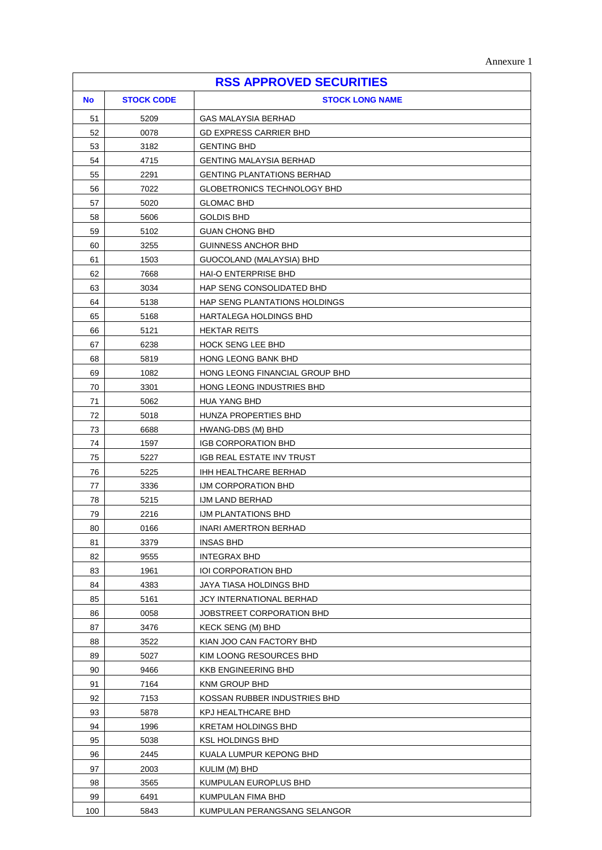ï

| <b>RSS APPROVED SECURITIES</b> |                   |                                   |  |
|--------------------------------|-------------------|-----------------------------------|--|
| <b>No</b>                      | <b>STOCK CODE</b> | <b>STOCK LONG NAME</b>            |  |
| 51                             | 5209              | <b>GAS MALAYSIA BERHAD</b>        |  |
| 52                             | 0078              | <b>GD EXPRESS CARRIER BHD</b>     |  |
| 53                             | 3182              | <b>GENTING BHD</b>                |  |
| 54                             | 4715              | <b>GENTING MALAYSIA BERHAD</b>    |  |
| 55                             | 2291              | <b>GENTING PLANTATIONS BERHAD</b> |  |
| 56                             | 7022              | GLOBETRONICS TECHNOLOGY BHD       |  |
| 57                             | 5020              | <b>GLOMAC BHD</b>                 |  |
| 58                             | 5606              | <b>GOLDIS BHD</b>                 |  |
| 59                             | 5102              | <b>GUAN CHONG BHD</b>             |  |
| 60                             | 3255              | <b>GUINNESS ANCHOR BHD</b>        |  |
| 61                             | 1503              | GUOCOLAND (MALAYSIA) BHD          |  |
| 62                             | 7668              | HAI-O ENTERPRISE BHD              |  |
| 63                             | 3034              | HAP SENG CONSOLIDATED BHD         |  |
| 64                             | 5138              | HAP SENG PLANTATIONS HOLDINGS     |  |
| 65                             | 5168              | HARTALEGA HOLDINGS BHD            |  |
| 66                             | 5121              | <b>HEKTAR REITS</b>               |  |
| 67                             | 6238              | <b>HOCK SENG LEE BHD</b>          |  |
| 68                             | 5819              | <b>HONG LEONG BANK BHD</b>        |  |
| 69                             | 1082              | HONG LEONG FINANCIAL GROUP BHD    |  |
| 70                             | 3301              | HONG LEONG INDUSTRIES BHD         |  |
| 71                             | 5062              | <b>HUA YANG BHD</b>               |  |
| 72                             | 5018              | HUNZA PROPERTIES BHD              |  |
| 73                             | 6688              | HWANG-DBS (M) BHD                 |  |
| 74                             | 1597              | <b>IGB CORPORATION BHD</b>        |  |
| 75                             | 5227              | IGB REAL ESTATE INV TRUST         |  |
| 76                             | 5225              | IHH HEALTHCARE BERHAD             |  |
| 77                             | 3336              | IJM CORPORATION BHD               |  |
| 78                             | 5215              | IJM LAND BERHAD                   |  |
| 79                             | 2216              | <b>IJM PLANTATIONS BHD</b>        |  |
| 80                             | 0166              | INARI AMERTRON BERHAD             |  |
| 81                             | 3379              | <b>INSAS BHD</b>                  |  |
| 82                             | 9555              | <b>INTEGRAX BHD</b>               |  |
| 83                             | 1961              | <b>IOI CORPORATION BHD</b>        |  |
| 84                             | 4383              | JAYA TIASA HOLDINGS BHD           |  |
| 85                             | 5161              | JCY INTERNATIONAL BERHAD          |  |
| 86                             | 0058              | JOBSTREET CORPORATION BHD         |  |
| 87                             | 3476              | KECK SENG (M) BHD                 |  |
| 88                             | 3522              | KIAN JOO CAN FACTORY BHD          |  |
| 89                             | 5027              | KIM LOONG RESOURCES BHD           |  |
| 90                             | 9466              | <b>KKB ENGINEERING BHD</b>        |  |
| 91                             | 7164              | KNM GROUP BHD                     |  |
| 92                             | 7153              | KOSSAN RUBBER INDUSTRIES BHD      |  |
| 93                             | 5878              | KPJ HEALTHCARE BHD                |  |
| 94                             | 1996              | KRETAM HOLDINGS BHD               |  |
| 95                             | 5038              | KSL HOLDINGS BHD                  |  |
| 96                             | 2445              | KUALA LUMPUR KEPONG BHD           |  |
| 97                             | 2003              | KULIM (M) BHD                     |  |
| 98                             | 3565              | KUMPULAN EUROPLUS BHD             |  |
| 99                             | 6491              | KUMPULAN FIMA BHD                 |  |
| 100                            | 5843              | KUMPULAN PERANGSANG SELANGOR      |  |

 $\mathbf{r}$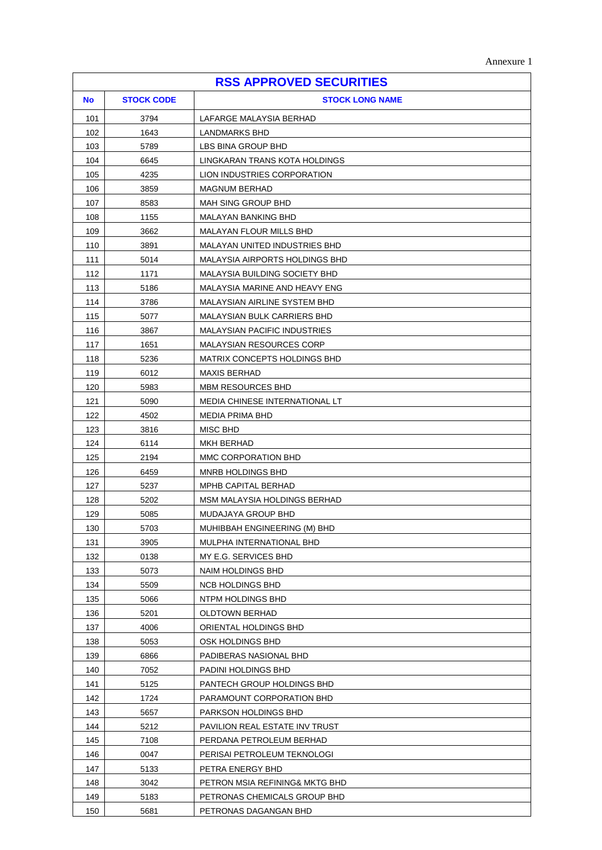| <b>RSS APPROVED SECURITIES</b> |                   |                                     |  |
|--------------------------------|-------------------|-------------------------------------|--|
| <b>No</b>                      | <b>STOCK CODE</b> | <b>STOCK LONG NAME</b>              |  |
| 101                            | 3794              | LAFARGE MALAYSIA BERHAD             |  |
| 102                            | 1643              | LANDMARKS BHD                       |  |
| 103                            | 5789              | LBS BINA GROUP BHD                  |  |
| 104                            | 6645              | LINGKARAN TRANS KOTA HOLDINGS       |  |
| 105                            | 4235              | LION INDUSTRIES CORPORATION         |  |
| 106                            | 3859              | <b>MAGNUM BERHAD</b>                |  |
| 107                            | 8583              | <b>MAH SING GROUP BHD</b>           |  |
| 108                            | 1155              | <b>MALAYAN BANKING BHD</b>          |  |
| 109                            | 3662              | MALAYAN FLOUR MILLS BHD             |  |
| 110                            | 3891              | MALAYAN UNITED INDUSTRIES BHD       |  |
| 111                            | 5014              | MALAYSIA AIRPORTS HOLDINGS BHD      |  |
| 112                            | 1171              | MALAYSIA BUILDING SOCIETY BHD       |  |
| 113                            | 5186              | MALAYSIA MARINE AND HEAVY ENG       |  |
| 114                            | 3786              | <b>MALAYSIAN AIRLINE SYSTEM BHD</b> |  |
| 115                            | 5077              | MALAYSIAN BULK CARRIERS BHD         |  |
| 116                            | 3867              | <b>MALAYSIAN PACIFIC INDUSTRIES</b> |  |
| 117                            | 1651              | <b>MALAYSIAN RESOURCES CORP</b>     |  |
| 118                            | 5236              | MATRIX CONCEPTS HOLDINGS BHD        |  |
| 119                            | 6012              | <b>MAXIS BERHAD</b>                 |  |
| 120                            | 5983              | <b>MBM RESOURCES BHD</b>            |  |
| 121                            | 5090              | MEDIA CHINESE INTERNATIONAL LT      |  |
| 122                            | 4502              | MEDIA PRIMA BHD                     |  |
| 123                            | 3816              | MISC BHD                            |  |
| 124                            | 6114              | MKH BERHAD                          |  |
| 125                            | 2194              | MMC CORPORATION BHD                 |  |
| 126                            | 6459              | MNRB HOLDINGS BHD                   |  |
| 127                            | 5237              | MPHB CAPITAL BERHAD                 |  |
| 128                            | 5202              | MSM MALAYSIA HOLDINGS BERHAD        |  |
| 129                            | 5085              | MUDAJAYA GROUP BHD                  |  |
| 130                            | 5703              | MUHIBBAH ENGINEERING (M) BHD        |  |
| 131                            | 3905              | MULPHA INTERNATIONAL BHD            |  |
| 132                            | 0138              | MY E.G. SERVICES BHD                |  |
| 133                            | 5073              | NAIM HOLDINGS BHD                   |  |
| 134                            | 5509              | <b>NCB HOLDINGS BHD</b>             |  |
| 135                            | 5066              | NTPM HOLDINGS BHD                   |  |
| 136                            | 5201              | <b>OLDTOWN BERHAD</b>               |  |
| 137                            | 4006              | ORIENTAL HOLDINGS BHD               |  |
| 138                            | 5053              | OSK HOLDINGS BHD                    |  |
| 139                            | 6866              | PADIBERAS NASIONAL BHD              |  |
| 140                            | 7052              | PADINI HOLDINGS BHD                 |  |
| 141                            | 5125              | PANTECH GROUP HOLDINGS BHD          |  |
| 142                            | 1724              | PARAMOUNT CORPORATION BHD           |  |
| 143                            | 5657              | PARKSON HOLDINGS BHD                |  |
| 144                            | 5212              | PAVILION REAL ESTATE INV TRUST      |  |
| 145                            | 7108              | PERDANA PETROLEUM BERHAD            |  |
| 146                            | 0047              | PERISAI PETROLEUM TEKNOLOGI         |  |
| 147                            | 5133              | PETRA ENERGY BHD                    |  |
| 148                            | 3042              | PETRON MSIA REFINING& MKTG BHD      |  |
| 149                            | 5183              | PETRONAS CHEMICALS GROUP BHD        |  |
| 150                            | 5681              | PETRONAS DAGANGAN BHD               |  |

 $\overline{1}$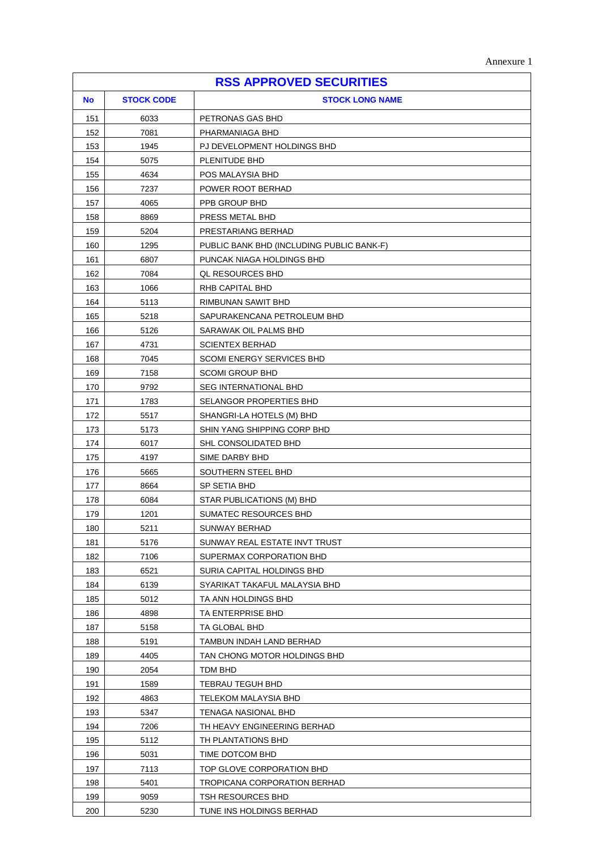| Annexure |  |
|----------|--|
|----------|--|

| <b>RSS APPROVED SECURITIES</b> |                   |                                           |
|--------------------------------|-------------------|-------------------------------------------|
| <b>No</b>                      | <b>STOCK CODE</b> | <b>STOCK LONG NAME</b>                    |
| 151                            | 6033              | PETRONAS GAS BHD                          |
| 152                            | 7081              | PHARMANIAGA BHD                           |
| 153                            | 1945              | PJ DEVELOPMENT HOLDINGS BHD               |
| 154                            | 5075              | PLENITUDE BHD                             |
| 155                            | 4634              | POS MALAYSIA BHD                          |
| 156                            | 7237              | POWER ROOT BERHAD                         |
| 157                            | 4065              | PPB GROUP BHD                             |
| 158                            | 8869              | PRESS METAL BHD                           |
| 159                            | 5204              | PRESTARIANG BERHAD                        |
| 160                            | 1295              | PUBLIC BANK BHD (INCLUDING PUBLIC BANK-F) |
| 161                            | 6807              | PUNCAK NIAGA HOLDINGS BHD                 |
| 162                            | 7084              | QL RESOURCES BHD                          |
| 163                            | 1066              | RHB CAPITAL BHD                           |
| 164                            | 5113              | RIMBUNAN SAWIT BHD                        |
| 165                            | 5218              | SAPURAKENCANA PETROLEUM BHD               |
| 166                            | 5126              | SARAWAK OIL PALMS BHD                     |
| 167                            | 4731              | <b>SCIENTEX BERHAD</b>                    |
| 168                            | 7045              | <b>SCOMI ENERGY SERVICES BHD</b>          |
| 169                            | 7158              | <b>SCOMI GROUP BHD</b>                    |
| 170                            | 9792              | <b>SEG INTERNATIONAL BHD</b>              |
| 171                            | 1783              | SELANGOR PROPERTIES BHD                   |
| 172                            | 5517              | SHANGRI-LA HOTELS (M) BHD                 |
| 173                            | 5173              | SHIN YANG SHIPPING CORP BHD               |
| 174                            | 6017              | SHL CONSOLIDATED BHD                      |
| 175                            | 4197              | SIME DARBY BHD                            |
| 176                            | 5665              | SOUTHERN STEEL BHD                        |
| 177                            | 8664              | SP SETIA BHD                              |
| 178                            | 6084              | STAR PUBLICATIONS (M) BHD                 |
| 179                            | 1201              | SUMATEC RESOURCES BHD                     |
| 180                            | 5211              | SUNWAY BERHAD                             |
| 181                            | 5176              | SUNWAY REAL ESTATE INVT TRUST             |
| 182                            | 7106              | SUPERMAX CORPORATION BHD                  |
| 183                            | 6521              | SURIA CAPITAL HOLDINGS BHD                |
| 184                            | 6139              | SYARIKAT TAKAFUL MALAYSIA BHD             |
| 185                            | 5012              | TA ANN HOLDINGS BHD                       |
| 186                            | 4898              | TA ENTERPRISE BHD                         |
| 187                            | 5158              | TA GLOBAL BHD                             |
| 188                            | 5191              | TAMBUN INDAH LAND BERHAD                  |
| 189                            | 4405              | TAN CHONG MOTOR HOLDINGS BHD              |
| 190                            | 2054              | TDM BHD                                   |
| 191                            | 1589              | TEBRAU TEGUH BHD                          |
| 192                            | 4863              | TELEKOM MALAYSIA BHD                      |
| 193                            | 5347              | TENAGA NASIONAL BHD                       |
| 194                            | 7206              | TH HEAVY ENGINEERING BERHAD               |
| 195                            | 5112              | TH PLANTATIONS BHD                        |
| 196                            | 5031              | TIME DOTCOM BHD                           |
| 197                            | 7113              | TOP GLOVE CORPORATION BHD                 |
| 198                            | 5401              | <b>TROPICANA CORPORATION BERHAD</b>       |
| 199                            | 9059              | TSH RESOURCES BHD                         |
| 200                            | 5230              | TUNE INS HOLDINGS BERHAD                  |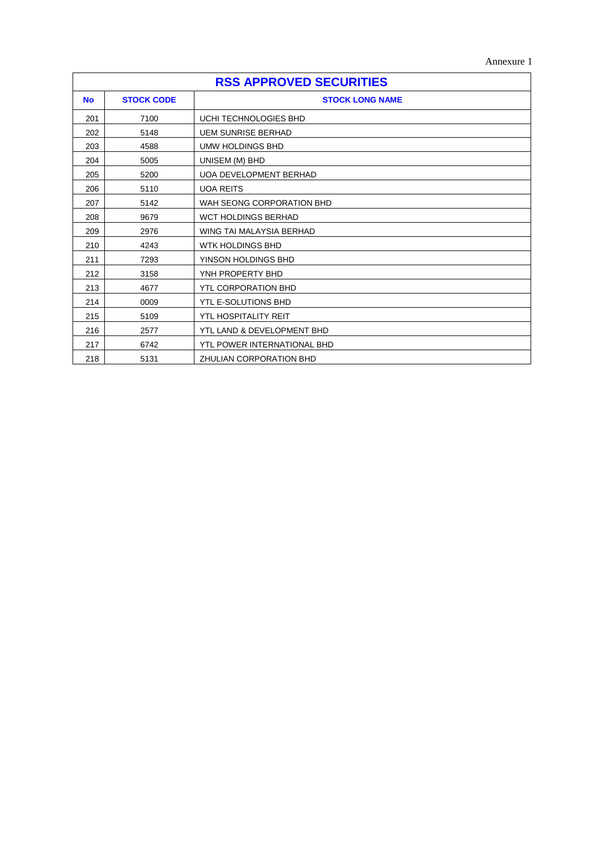Annexure 1

| <b>RSS APPROVED SECURITIES</b> |                   |                               |
|--------------------------------|-------------------|-------------------------------|
| <b>No</b>                      | <b>STOCK CODE</b> | <b>STOCK LONG NAME</b>        |
| 201                            | 7100              | UCHI TECHNOLOGIES BHD         |
| 202                            | 5148              | <b>UEM SUNRISE BERHAD</b>     |
| 203                            | 4588              | UMW HOLDINGS BHD              |
| 204                            | 5005              | UNISEM (M) BHD                |
| 205                            | 5200              | <b>UOA DEVELOPMENT BERHAD</b> |
| 206                            | 5110              | <b>UOA REITS</b>              |
| 207                            | 5142              | WAH SEONG CORPORATION BHD     |
| 208                            | 9679              | <b>WCT HOLDINGS BERHAD</b>    |
| 209                            | 2976              | WING TAI MALAYSIA BERHAD      |
| 210                            | 4243              | <b>WTK HOLDINGS BHD</b>       |
| 211                            | 7293              | YINSON HOLDINGS BHD           |
| 212                            | 3158              | YNH PROPERTY BHD              |
| 213                            | 4677              | <b>YTL CORPORATION BHD</b>    |
| 214                            | 0009              | YTL E-SOLUTIONS BHD           |
| 215                            | 5109              | <b>YTL HOSPITALITY REIT</b>   |
| 216                            | 2577              | YTL LAND & DEVELOPMENT BHD    |
| 217                            | 6742              | YTL POWER INTERNATIONAL BHD   |
| 218                            | 5131              | ZHULIAN CORPORATION BHD       |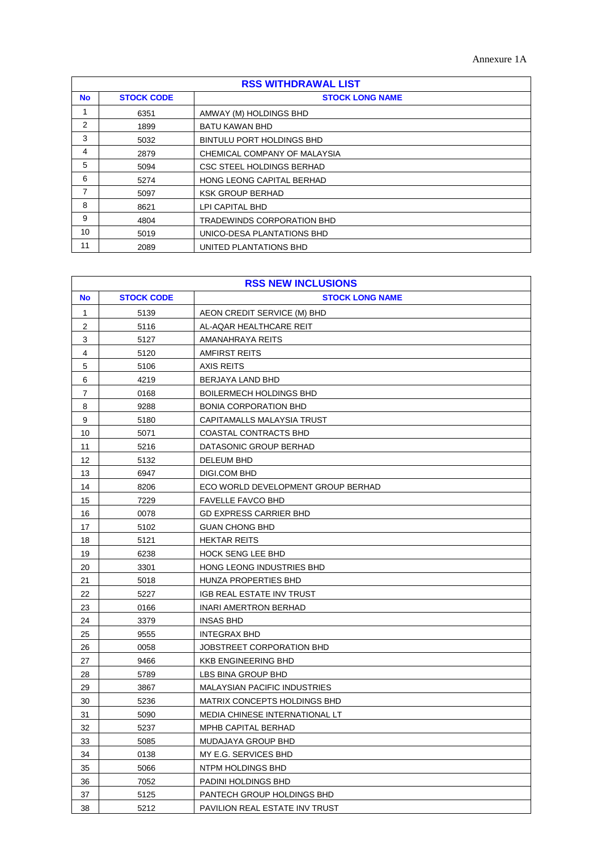| <b>RSS WITHDRAWAL LIST</b> |                                             |                                   |  |  |  |
|----------------------------|---------------------------------------------|-----------------------------------|--|--|--|
| <b>No</b>                  | <b>STOCK CODE</b><br><b>STOCK LONG NAME</b> |                                   |  |  |  |
|                            | 6351                                        | AMWAY (M) HOLDINGS BHD            |  |  |  |
| 2                          | 1899                                        | <b>BATU KAWAN BHD</b>             |  |  |  |
| 3                          | 5032                                        | <b>BINTULU PORT HOLDINGS BHD</b>  |  |  |  |
| 4                          | 2879                                        | CHEMICAL COMPANY OF MALAYSIA      |  |  |  |
| 5                          | 5094                                        | CSC STEEL HOLDINGS BERHAD         |  |  |  |
| 6                          | 5274                                        | HONG LEONG CAPITAL BERHAD         |  |  |  |
| 7                          | 5097                                        | <b>KSK GROUP BERHAD</b>           |  |  |  |
| 8                          | 8621                                        | LPI CAPITAL BHD                   |  |  |  |
| 9                          | 4804                                        | <b>TRADEWINDS CORPORATION BHD</b> |  |  |  |
| 10                         | 5019                                        | UNICO-DESA PLANTATIONS BHD        |  |  |  |
| 11                         | 2089                                        | UNITED PLANTATIONS BHD            |  |  |  |

| <b>RSS NEW INCLUSIONS</b> |                   |                                     |
|---------------------------|-------------------|-------------------------------------|
| <b>No</b>                 | <b>STOCK CODE</b> | <b>STOCK LONG NAME</b>              |
| $\mathbf{1}$              | 5139              | AEON CREDIT SERVICE (M) BHD         |
| $\boldsymbol{2}$          | 5116              | AL-AQAR HEALTHCARE REIT             |
| 3                         | 5127              | AMANAHRAYA REITS                    |
| $\overline{\mathbf{4}}$   | 5120              | <b>AMFIRST REITS</b>                |
| 5                         | 5106              | <b>AXIS REITS</b>                   |
| 6                         | 4219              | BERJAYA LAND BHD                    |
| $\overline{7}$            | 0168              | <b>BOILERMECH HOLDINGS BHD</b>      |
| 8                         | 9288              | <b>BONIA CORPORATION BHD</b>        |
| 9                         | 5180              | CAPITAMALLS MALAYSIA TRUST          |
| 10                        | 5071              | COASTAL CONTRACTS BHD               |
| 11                        | 5216              | DATASONIC GROUP BERHAD              |
| 12                        | 5132              | DELEUM BHD                          |
| 13                        | 6947              | DIGI.COM BHD                        |
| 14                        | 8206              | ECO WORLD DEVELOPMENT GROUP BERHAD  |
| 15                        | 7229              | <b>FAVELLE FAVCO BHD</b>            |
| 16                        | 0078              | <b>GD EXPRESS CARRIER BHD</b>       |
| 17                        | 5102              | <b>GUAN CHONG BHD</b>               |
| 18                        | 5121              | <b>HEKTAR REITS</b>                 |
| 19                        | 6238              | <b>HOCK SENG LEE BHD</b>            |
| 20                        | 3301              | <b>HONG LEONG INDUSTRIES BHD</b>    |
| 21                        | 5018              | HUNZA PROPERTIES BHD                |
| 22                        | 5227              | IGB REAL ESTATE INV TRUST           |
| 23                        | 0166              | <b>INARI AMERTRON BERHAD</b>        |
| 24                        | 3379              | INSAS BHD                           |
| 25                        | 9555              | <b>INTEGRAX BHD</b>                 |
| 26                        | 0058              | JOBSTREET CORPORATION BHD           |
| 27                        | 9466              | <b>KKB ENGINEERING BHD</b>          |
| 28                        | 5789              | LBS BINA GROUP BHD                  |
| 29                        | 3867              | <b>MALAYSIAN PACIFIC INDUSTRIES</b> |
| 30                        | 5236              | MATRIX CONCEPTS HOLDINGS BHD        |
| 31                        | 5090              | MEDIA CHINESE INTERNATIONAL LT      |
| 32                        | 5237              | MPHB CAPITAL BERHAD                 |
| 33                        | 5085              | MUDAJAYA GROUP BHD                  |
| 34                        | 0138              | MY E.G. SERVICES BHD                |
| 35                        | 5066              | NTPM HOLDINGS BHD                   |
| 36                        | 7052              | PADINI HOLDINGS BHD                 |
| 37                        | 5125              | PANTECH GROUP HOLDINGS BHD          |
| 38                        | 5212              | PAVILION REAL ESTATE INV TRUST      |